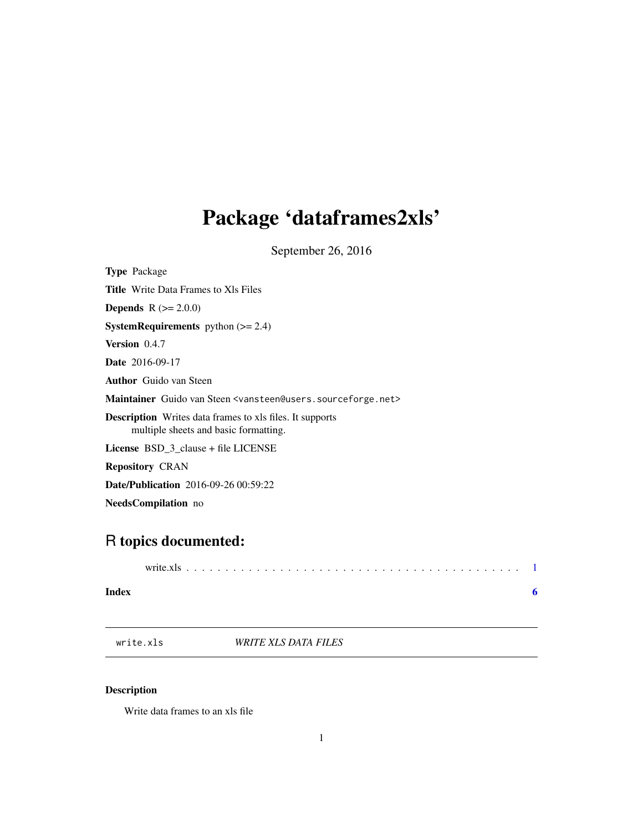## <span id="page-0-0"></span>Package 'dataframes2xls'

September 26, 2016

<span id="page-0-1"></span>

| <b>Type</b> Package                                                                                      |
|----------------------------------------------------------------------------------------------------------|
| <b>Title</b> Write Data Frames to XIs Files                                                              |
| <b>Depends</b> $R (= 2.0.0)$                                                                             |
| <b>SystemRequirements</b> python $(>= 2.4)$                                                              |
| <b>Version</b> $0.4.7$                                                                                   |
| <b>Date</b> 2016-09-17                                                                                   |
| <b>Author</b> Guido van Steen                                                                            |
| Maintainer Guido van Steen <vansteen@users.sourceforge.net></vansteen@users.sourceforge.net>             |
| <b>Description</b> Writes data frames to xls files. It supports<br>multiple sheets and basic formatting. |
| <b>License</b> BSD 3 clause + file LICENSE                                                               |
| <b>Repository CRAN</b>                                                                                   |
| <b>Date/Publication</b> 2016-09-26 00:59:22                                                              |
| <b>NeedsCompilation</b> no                                                                               |

### R topics documented:

#### **Index** [6](#page-5-0) **6**

write.xls *WRITE XLS DATA FILES*

#### Description

Write data frames to an xls file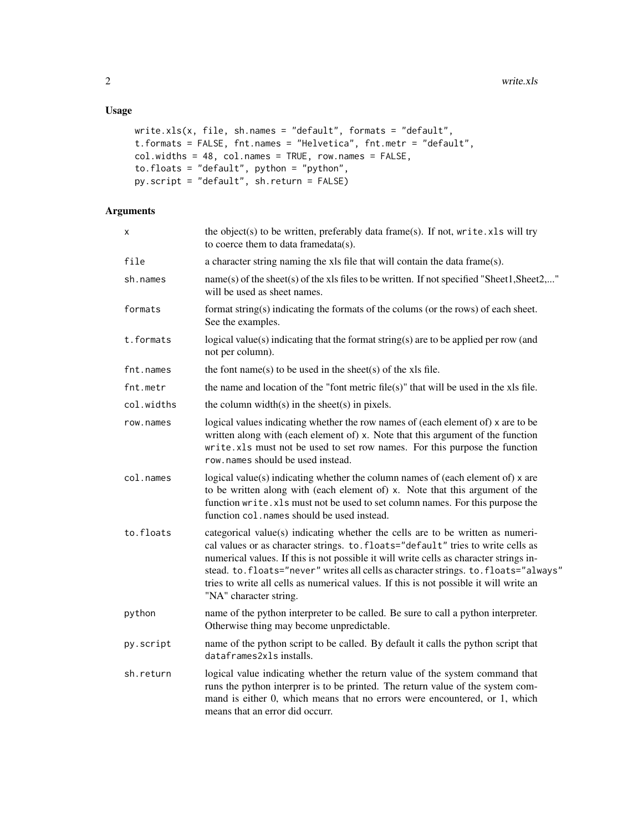#### Usage

```
write.xls(x, file, sh.names = "default", formats = "default",
t.formats = FALSE, fnt.names = "Helvetica", fnt.metr = "default",
col.widths = 48, col.names = TRUE, row.names = FALSE,
to.floats = "default", python = "python",
py.script = "default", sh.return = FALSE)
```
#### Arguments

| X          | the object(s) to be written, preferably data frame(s). If not, write.xls will try<br>to coerce them to data framedata(s).                                                                                                                                                                                                                                                                                                                                              |
|------------|------------------------------------------------------------------------------------------------------------------------------------------------------------------------------------------------------------------------------------------------------------------------------------------------------------------------------------------------------------------------------------------------------------------------------------------------------------------------|
| file       | a character string naming the xls file that will contain the data frame(s).                                                                                                                                                                                                                                                                                                                                                                                            |
| sh.names   | name(s) of the sheet(s) of the xls files to be written. If not specified "Sheet1, Sheet2,"<br>will be used as sheet names.                                                                                                                                                                                                                                                                                                                                             |
| formats    | format string(s) indicating the formats of the colums (or the rows) of each sheet.<br>See the examples.                                                                                                                                                                                                                                                                                                                                                                |
| t.formats  | logical value(s) indicating that the format string(s) are to be applied per row (and<br>not per column).                                                                                                                                                                                                                                                                                                                                                               |
| fnt.names  | the font name(s) to be used in the sheet(s) of the xls file.                                                                                                                                                                                                                                                                                                                                                                                                           |
| fnt.metr   | the name and location of the "font metric file(s)" that will be used in the xls file.                                                                                                                                                                                                                                                                                                                                                                                  |
| col.widths | the column width(s) in the sheet(s) in pixels.                                                                                                                                                                                                                                                                                                                                                                                                                         |
| row.names  | logical values indicating whether the row names of (each element of) x are to be<br>written along with (each element of) x. Note that this argument of the function<br>write.xls must not be used to set row names. For this purpose the function<br>row, names should be used instead.                                                                                                                                                                                |
| col.names  | logical value(s) indicating whether the column names of (each element of) x are<br>to be written along with (each element of) x. Note that this argument of the<br>function write.xls must not be used to set column names. For this purpose the<br>function col. names should be used instead.                                                                                                                                                                        |
| to.floats  | categorical value(s) indicating whether the cells are to be written as numeri-<br>cal values or as character strings. to. floats="default" tries to write cells as<br>numerical values. If this is not possible it will write cells as character strings in-<br>stead. to.floats="never" writes all cells as character strings. to.floats="always"<br>tries to write all cells as numerical values. If this is not possible it will write an<br>"NA" character string. |
| python     | name of the python interpreter to be called. Be sure to call a python interpreter.<br>Otherwise thing may become unpredictable.                                                                                                                                                                                                                                                                                                                                        |
| py.script  | name of the python script to be called. By default it calls the python script that<br>dataframes2x1s installs.                                                                                                                                                                                                                                                                                                                                                         |
| sh.return  | logical value indicating whether the return value of the system command that<br>runs the python interprer is to be printed. The return value of the system com-<br>mand is either 0, which means that no errors were encountered, or 1, which<br>means that an error did occurr.                                                                                                                                                                                       |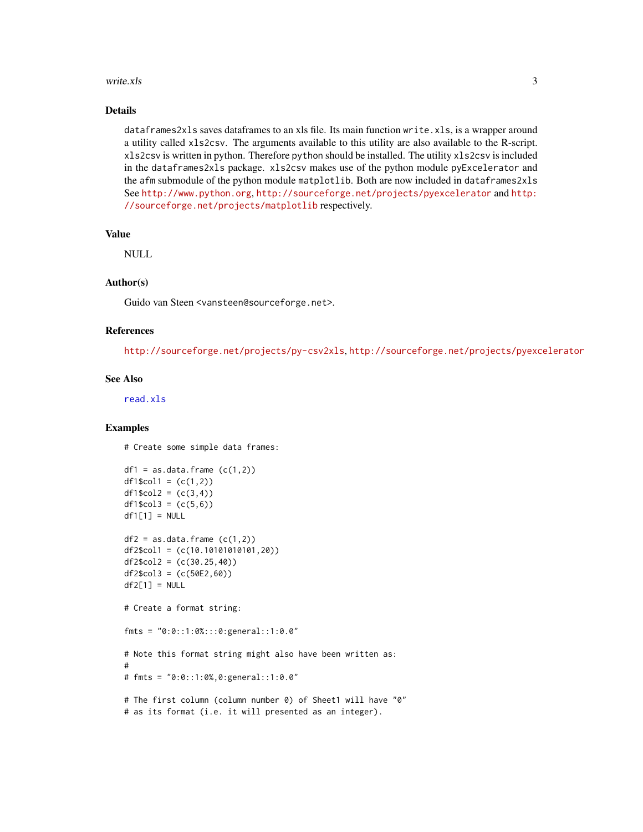#### <span id="page-2-0"></span>write.xls  $\frac{3}{2}$

#### Details

dataframes2xls saves dataframes to an xls file. Its main function write.xls, is a wrapper around a utility called xls2csv. The arguments available to this utility are also available to the R-script. xls2csv is written in python. Therefore python should be installed. The utility xls2csv is included in the dataframes2xls package. xls2csv makes use of the python module pyExcelerator and the afm submodule of the python module matplotlib. Both are now included in dataframes2xls See <http://www.python.org>, <http://sourceforge.net/projects/pyexcelerator> and [http:](http://sourceforge.net/projects/matplotlib) [//sourceforge.net/projects/matplotlib](http://sourceforge.net/projects/matplotlib) respectively.

#### Value

NULL

#### Author(s)

Guido van Steen <vansteen@sourceforge.net>.

#### References

<http://sourceforge.net/projects/py-csv2xls>, <http://sourceforge.net/projects/pyexcelerator>

#### See Also

[read.xls](#page-0-1)

#### Examples

# Create some simple data frames:

```
df1 = as.data frame (c(1,2))df1$col1 = (c(1,2))df1$col2 = (c(3, 4))df1\col3 = (c(5,6))df1[1] = NULLdf2 = as.data frame (c(1,2))df2$col1 = (c(10.10101010101,20))
df2$col2 = (c(30.25, 40))df2$col3 = (c(50E2, 60))df2[1] = NULL# Create a format string:
fmts = "0:0::1:0%:::0:general::1:0.0"
# Note this format string might also have been written as:
#
# fmts = "0:0::1:0%,0:general::1:0.0"
# The first column (column number 0) of Sheet1 will have "0"
# as its format (i.e. it will presented as an integer).
```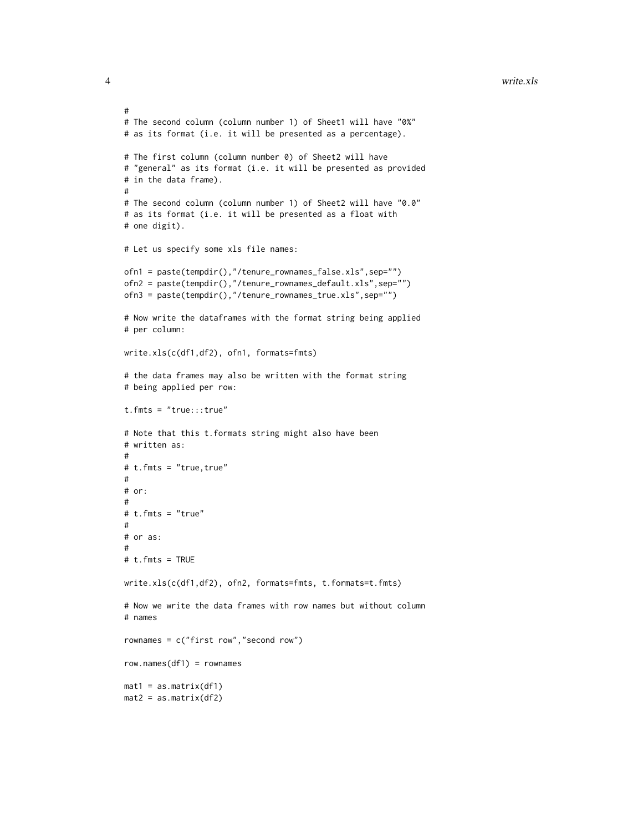#### 4 write.xls

```
#
# The second column (column number 1) of Sheet1 will have "0%"
# as its format (i.e. it will be presented as a percentage).
# The first column (column number 0) of Sheet2 will have
# "general" as its format (i.e. it will be presented as provided
# in the data frame).
#
# The second column (column number 1) of Sheet2 will have "0.0"
# as its format (i.e. it will be presented as a float with
# one digit).
# Let us specify some xls file names:
ofn1 = paste(tempdir(),"/tenure_rownames_false.xls",sep="")
ofn2 = paste(tempdir(),"/tenure_rownames_default.xls",sep="")
ofn3 = paste(tempdir(),"/tenure_rownames_true.xls",sep="")
# Now write the dataframes with the format string being applied
# per column:
write.xls(c(df1,df2), ofn1, formats=fmts)
# the data frames may also be written with the format string
# being applied per row:
t.fmts = "true:::true"
# Note that this t.formats string might also have been
# written as:
#
# t.fmts = "true,true"
#
# or:
#
# t.fmts = "true"
#
# or as:
#
# t.fmts = TRUE
write.xls(c(df1,df2), ofn2, formats=fmts, t.formats=t.fmts)
# Now we write the data frames with row names but without column
# names
rownames = c("first row","second row")
row.names(df1) = rownames
mat1 = as_matrix(df1)mat2 = as_matrix(df2)
```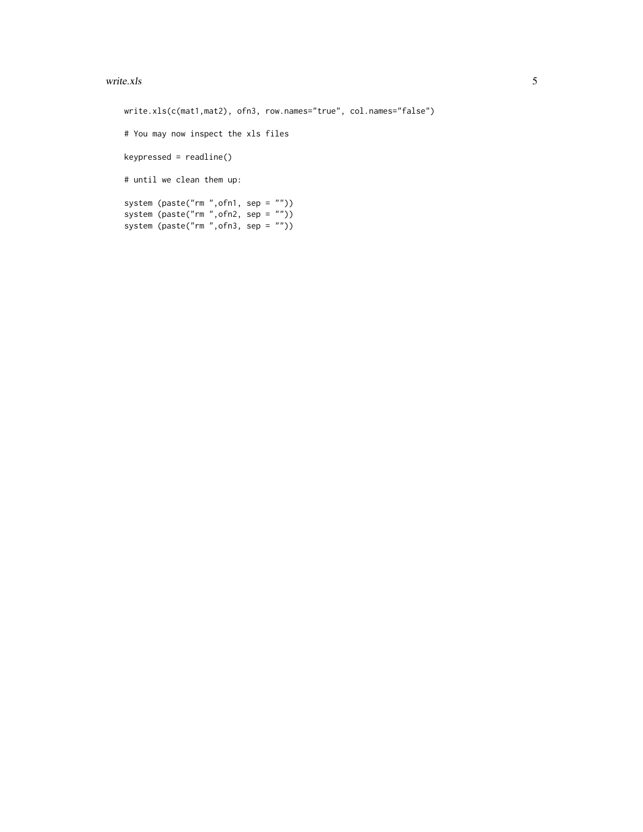#### write.xls 5

```
write.xls(c(mat1,mat2), ofn3, row.names="true", col.names="false")
# You may now inspect the xls files
keypressed = readline()
# until we clean them up:
system (paste("rm ",ofn1, sep = ""))
system (paste("rm ",ofn2, sep = ""))
system (paste("rm ",ofn3, sep = ""))
```